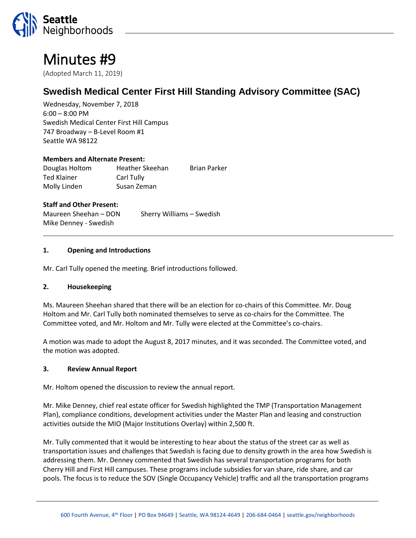

# Minutes #9

(Adopted March 11, 2019)

# **Swedish Medical Center First Hill Standing Advisory Committee (SAC)**

Wednesday, November 7, 2018 6:00 – 8:00 PM Swedish Medical Center First Hill Campus 747 Broadway – B-Level Room #1 Seattle WA 98122

#### **Members and Alternate Present:**

Douglas Holtom Heather Skeehan Brian Parker Ted Klainer **Carl Tully** Molly Linden Susan Zeman

#### **Staff and Other Present:**

Maureen Sheehan – DON Sherry Williams – Swedish Mike Denney - Swedish

#### **1. Opening and Introductions**

Mr. Carl Tully opened the meeting. Brief introductions followed.

#### **2. Housekeeping**

Ms. Maureen Sheehan shared that there will be an election for co-chairs of this Committee. Mr. Doug Holtom and Mr. Carl Tully both nominated themselves to serve as co-chairs for the Committee. The Committee voted, and Mr. Holtom and Mr. Tully were elected at the Committee's co-chairs.

A motion was made to adopt the August 8, 2017 minutes, and it was seconded. The Committee voted, and the motion was adopted.

#### **3. Review Annual Report**

Mr. Holtom opened the discussion to review the annual report.

Mr. Mike Denney, chief real estate officer for Swedish highlighted the TMP (Transportation Management Plan), compliance conditions, development activities under the Master Plan and leasing and construction activities outside the MIO (Major Institutions Overlay) within 2,500 ft.

Mr. Tully commented that it would be interesting to hear about the status of the street car as well as transportation issues and challenges that Swedish is facing due to density growth in the area how Swedish is addressing them. Mr. Denney commented that Swedish has several transportation programs for both Cherry Hill and First Hill campuses. These programs include subsidies for van share, ride share, and car pools. The focus is to reduce the SOV (Single Occupancy Vehicle) traffic and all the transportation programs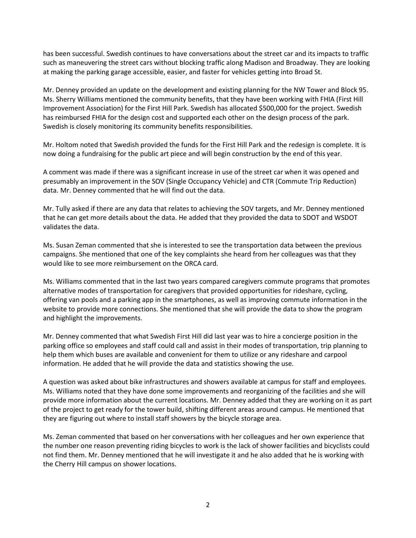has been successful. Swedish continues to have conversations about the street car and its impacts to traffic such as maneuvering the street cars without blocking traffic along Madison and Broadway. They are looking at making the parking garage accessible, easier, and faster for vehicles getting into Broad St.

Mr. Denney provided an update on the development and existing planning for the NW Tower and Block 95. Ms. Sherry Williams mentioned the community benefits, that they have been working with FHIA (First Hill Improvement Association) for the First Hill Park. Swedish has allocated \$500,000 for the project. Swedish has reimbursed FHIA for the design cost and supported each other on the design process of the park. Swedish is closely monitoring its community benefits responsibilities.

Mr. Holtom noted that Swedish provided the funds for the First Hill Park and the redesign is complete. It is now doing a fundraising for the public art piece and will begin construction by the end of this year.

A comment was made if there was a significant increase in use of the street car when it was opened and presumably an improvement in the SOV (Single Occupancy Vehicle) and CTR (Commute Trip Reduction) data. Mr. Denney commented that he will find out the data.

Mr. Tully asked if there are any data that relates to achieving the SOV targets, and Mr. Denney mentioned that he can get more details about the data. He added that they provided the data to SDOT and WSDOT validates the data.

Ms. Susan Zeman commented that she is interested to see the transportation data between the previous campaigns. She mentioned that one of the key complaints she heard from her colleagues was that they would like to see more reimbursement on the ORCA card.

Ms. Williams commented that in the last two years compared caregivers commute programs that promotes alternative modes of transportation for caregivers that provided opportunities for rideshare, cycling, offering van pools and a parking app in the smartphones, as well as improving commute information in the website to provide more connections. She mentioned that she will provide the data to show the program and highlight the improvements.

Mr. Denney commented that what Swedish First Hill did last year was to hire a concierge position in the parking office so employees and staff could call and assist in their modes of transportation, trip planning to help them which buses are available and convenient for them to utilize or any rideshare and carpool information. He added that he will provide the data and statistics showing the use.

A question was asked about bike infrastructures and showers available at campus for staff and employees. Ms. Williams noted that they have done some improvements and reorganizing of the facilities and she will provide more information about the current locations. Mr. Denney added that they are working on it as part of the project to get ready for the tower build, shifting different areas around campus. He mentioned that they are figuring out where to install staff showers by the bicycle storage area.

Ms. Zeman commented that based on her conversations with her colleagues and her own experience that the number one reason preventing riding bicycles to work is the lack of shower facilities and bicyclists could not find them. Mr. Denney mentioned that he will investigate it and he also added that he is working with the Cherry Hill campus on shower locations.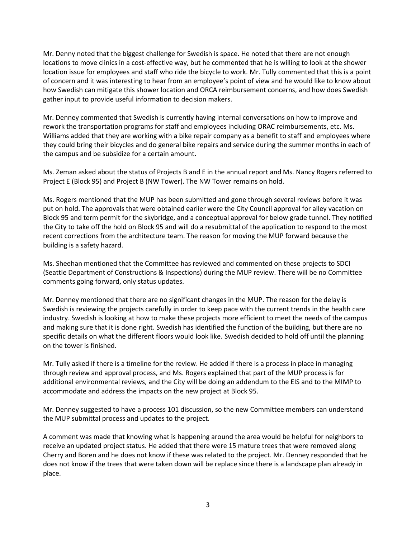Mr. Denny noted that the biggest challenge for Swedish is space. He noted that there are not enough locations to move clinics in a cost-effective way, but he commented that he is willing to look at the shower location issue for employees and staff who ride the bicycle to work. Mr. Tully commented that this is a point of concern and it was interesting to hear from an employee's point of view and he would like to know about how Swedish can mitigate this shower location and ORCA reimbursement concerns, and how does Swedish gather input to provide useful information to decision makers.

Mr. Denney commented that Swedish is currently having internal conversations on how to improve and rework the transportation programs for staff and employees including ORAC reimbursements, etc. Ms. Williams added that they are working with a bike repair company as a benefit to staff and employees where they could bring their bicycles and do general bike repairs and service during the summer months in each of the campus and be subsidize for a certain amount.

Ms. Zeman asked about the status of Projects B and E in the annual report and Ms. Nancy Rogers referred to Project E (Block 95) and Project B (NW Tower). The NW Tower remains on hold.

Ms. Rogers mentioned that the MUP has been submitted and gone through several reviews before it was put on hold. The approvals that were obtained earlier were the City Council approval for alley vacation on Block 95 and term permit for the skybridge, and a conceptual approval for below grade tunnel. They notified the City to take off the hold on Block 95 and will do a resubmittal of the application to respond to the most recent corrections from the architecture team. The reason for moving the MUP forward because the building is a safety hazard.

Ms. Sheehan mentioned that the Committee has reviewed and commented on these projects to SDCI (Seattle Department of Constructions & Inspections) during the MUP review. There will be no Committee comments going forward, only status updates.

Mr. Denney mentioned that there are no significant changes in the MUP. The reason for the delay is Swedish is reviewing the projects carefully in order to keep pace with the current trends in the health care industry. Swedish is looking at how to make these projects more efficient to meet the needs of the campus and making sure that it is done right. Swedish has identified the function of the building, but there are no specific details on what the different floors would look like. Swedish decided to hold off until the planning on the tower is finished.

Mr. Tully asked if there is a timeline for the review. He added if there is a process in place in managing through review and approval process, and Ms. Rogers explained that part of the MUP process is for additional environmental reviews, and the City will be doing an addendum to the EIS and to the MIMP to accommodate and address the impacts on the new project at Block 95.

Mr. Denney suggested to have a process 101 discussion, so the new Committee members can understand the MUP submittal process and updates to the project.

A comment was made that knowing what is happening around the area would be helpful for neighbors to receive an updated project status. He added that there were 15 mature trees that were removed along Cherry and Boren and he does not know if these was related to the project. Mr. Denney responded that he does not know if the trees that were taken down will be replace since there is a landscape plan already in place.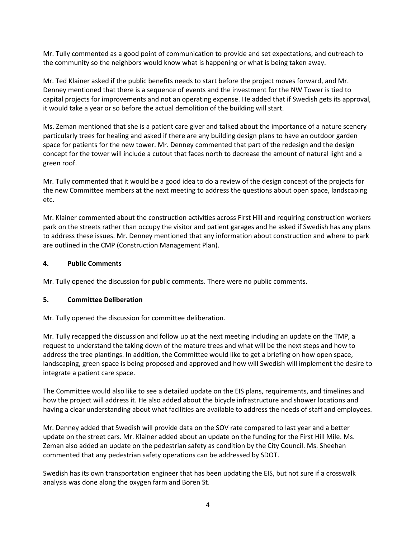Mr. Tully commented as a good point of communication to provide and set expectations, and outreach to the community so the neighbors would know what is happening or what is being taken away.

Mr. Ted Klainer asked if the public benefits needs to start before the project moves forward, and Mr. Denney mentioned that there is a sequence of events and the investment for the NW Tower is tied to capital projects for improvements and not an operating expense. He added that if Swedish gets its approval, it would take a year or so before the actual demolition of the building will start.

Ms. Zeman mentioned that she is a patient care giver and talked about the importance of a nature scenery particularly trees for healing and asked if there are any building design plans to have an outdoor garden space for patients for the new tower. Mr. Denney commented that part of the redesign and the design concept for the tower will include a cutout that faces north to decrease the amount of natural light and a green roof.

Mr. Tully commented that it would be a good idea to do a review of the design concept of the projects for the new Committee members at the next meeting to address the questions about open space, landscaping etc.

Mr. Klainer commented about the construction activities across First Hill and requiring construction workers park on the streets rather than occupy the visitor and patient garages and he asked if Swedish has any plans to address these issues. Mr. Denney mentioned that any information about construction and where to park are outlined in the CMP (Construction Management Plan).

## **4. Public Comments**

Mr. Tully opened the discussion for public comments. There were no public comments.

#### **5. Committee Deliberation**

Mr. Tully opened the discussion for committee deliberation.

Mr. Tully recapped the discussion and follow up at the next meeting including an update on the TMP, a request to understand the taking down of the mature trees and what will be the next steps and how to address the tree plantings. In addition, the Committee would like to get a briefing on how open space, landscaping, green space is being proposed and approved and how will Swedish will implement the desire to integrate a patient care space.

The Committee would also like to see a detailed update on the EIS plans, requirements, and timelines and how the project will address it. He also added about the bicycle infrastructure and shower locations and having a clear understanding about what facilities are available to address the needs of staff and employees.

Mr. Denney added that Swedish will provide data on the SOV rate compared to last year and a better update on the street cars. Mr. Klainer added about an update on the funding for the First Hill Mile. Ms. Zeman also added an update on the pedestrian safety as condition by the City Council. Ms. Sheehan commented that any pedestrian safety operations can be addressed by SDOT.

Swedish has its own transportation engineer that has been updating the EIS, but not sure if a crosswalk analysis was done along the oxygen farm and Boren St.